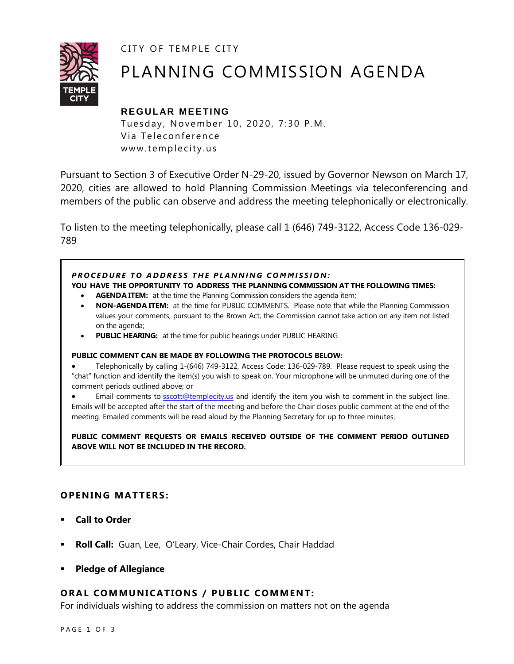CITY OF TEMPLE CITY



# PLANNING COMMISSION AGENDA

## **REGULAR MEETING**

Tuesday, November 10, 2020, 7:30 P.M. Via Teleconference www.templecity.us

Pursuant to Section 3 of Executive Order N-29-20, issued by Governor Newson on March 17, 2020, cities are allowed to hold Planning Commission Meetings via teleconferencing and members of the public can observe and address the meeting telephonically or electronically.

To listen to the meeting telephonically, please call 1 (646) 749-3122, Access Code 136-029- 789

## **PROCEDURE TO ADDRESS THE PLANNING COMMISSION:**

**YOU HAVE THE OPPORTUNITY TO ADDRESS THE PLANNING COMMISSION AT THE FOLLOWING TIMES:**

- **AGENDA ITEM:** at the time the Planning Commission considers the agenda item;
- **NON-AGENDA ITEM:** at the time for PUBLIC COMMENTS. Please note that while the Planning Commission values your comments, pursuant to the Brown Act, the Commission cannot take action on any item not listed on the agenda;
- **PUBLIC HEARING:** at the time for public hearings under PUBLIC HEARING

#### **PUBLIC COMMENT CAN BE MADE BY FOLLOWING THE PROTOCOLS BELOW:**

 Telephonically by calling 1-(646) 749-3122, Access Code: 136-029-789. Please request to speak using the "chat" function and identify the item(s) you wish to speak on. Your microphone will be unmuted during one of the comment periods outlined above; or

Email comments to **[sscott@templecity.us](mailto:sscott@templecity.us)** and identify the item you wish to comment in the subject line. Emails will be accepted after the start of the meeting and before the Chair closes public comment at the end of the meeting. Emailed comments will be read aloud by the Planning Secretary for up to three minutes.

**PUBLIC COMMENT REQUESTS OR EMAILS RECEIVED OUTSIDE OF THE COMMENT PERIOD OUTLINED ABOVE WILL NOT BE INCLUDED IN THE RECORD.**

#### **OPEN ING MAT TERS :**

- **Call to Order**
- **Roll Call:** Guan, Lee, O'Leary, Vice-Chair Cordes, Chair Haddad
- **Pledge of Allegiance**

#### **ORAL COMMUNICATIONS / PUBLIC COMMENT:**

For individuals wishing to address the commission on matters not on the agenda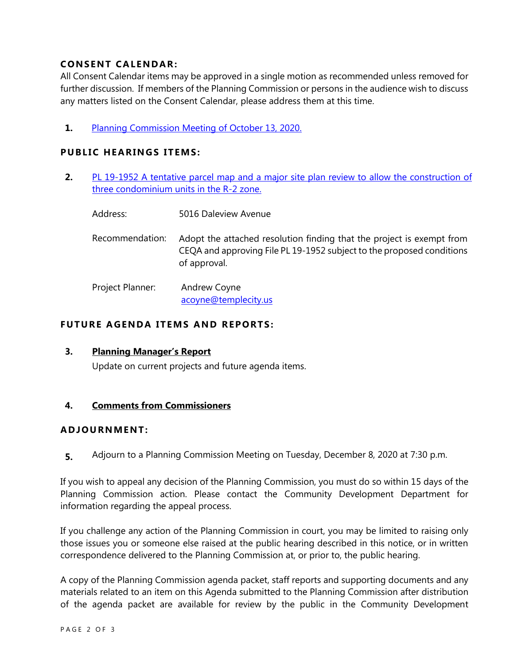## **CONSENT CA LENDAR:**

All Consent Calendar items may be approved in a single motion as recommended unless removed for further discussion. If members of the Planning Commission or persons in the audience wish to discuss any matters listed on the Consent Calendar, please address them at this time.

**1.** [Planning Commission Meeting of](https://www.ci.temple-city.ca.us/DocumentCenter/View/15285/PCM-1013) October 13, 2020.

## **PUBLIC HEARINGS ITEMS:**

**2.** PL 19-1952 [A tentative parcel map and a major site plan review to allow the construction of](https://www.ci.temple-city.ca.us/DocumentCenter/View/15286/19-1952-5016-Daleview)  [three condominium units in the R-2 zone.](https://www.ci.temple-city.ca.us/DocumentCenter/View/15286/19-1952-5016-Daleview)

| Address: | 5016 Daleview Avenue                                                                                                       |
|----------|----------------------------------------------------------------------------------------------------------------------------|
|          | Recommendation: Adopt the attached resolution finding that the p<br>$CEA$ and approving $E _{Q}$ BL 10.1052 subject to the |

roject is exempt from CEQA and approving File PL 19-1952 subject to the proposed conditions of approval.

Project Planner: Andrew Coyne acoyne@templecity.us

## **FUTURE AGENDA ITEMS AND REPORTS:**

## **3. Planning Manager's Report**

Update on current projects and future agenda items.

## **4. Comments from Commissioners**

#### **ADJOU RNMENT:**

**5.** Adjourn to a Planning Commission Meeting on Tuesday, December 8, 2020 at 7:30 p.m.

If you wish to appeal any decision of the Planning Commission, you must do so within 15 days of the Planning Commission action. Please contact the Community Development Department for information regarding the appeal process.

If you challenge any action of the Planning Commission in court, you may be limited to raising only those issues you or someone else raised at the public hearing described in this notice, or in written correspondence delivered to the Planning Commission at, or prior to, the public hearing.

A copy of the Planning Commission agenda packet, staff reports and supporting documents and any materials related to an item on this Agenda submitted to the Planning Commission after distribution of the agenda packet are available for review by the public in the Community Development